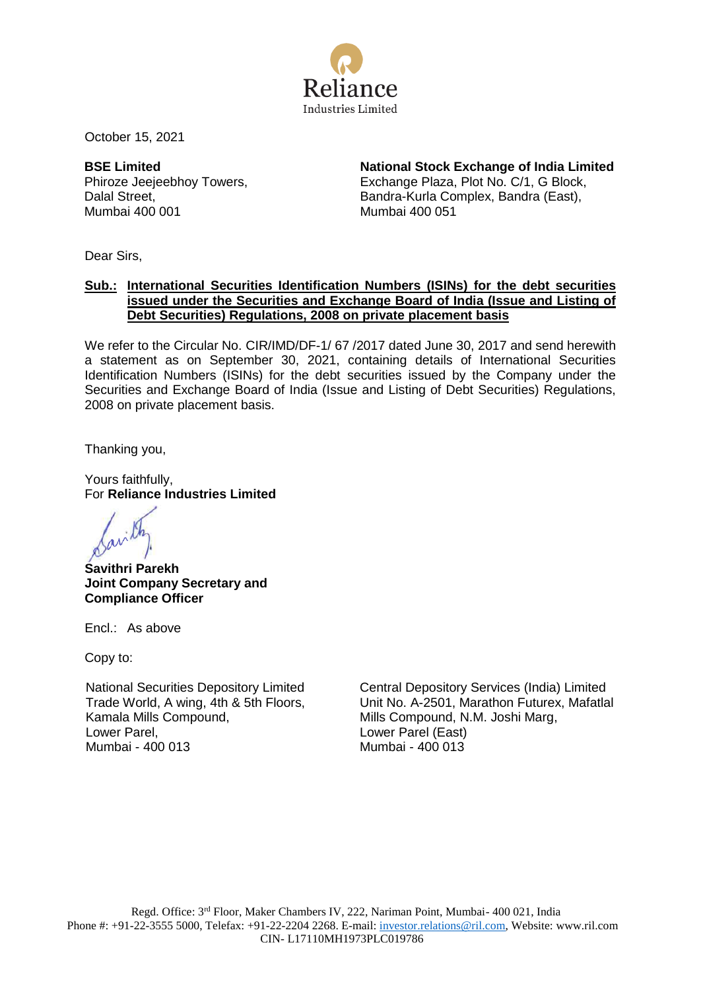

October 15, 2021

**BSE Limited** Phiroze Jeejeebhoy Towers, Dalal Street, Mumbai 400 001

**National Stock Exchange of India Limited** Exchange Plaza, Plot No. C/1, G Block, Bandra-Kurla Complex, Bandra (East), Mumbai 400 051

Dear Sirs,

## **Sub.: International Securities Identification Numbers (ISINs) for the debt securities issued under the Securities and Exchange Board of India (Issue and Listing of Debt Securities) Regulations, 2008 on private placement basis**

We refer to the Circular No. CIR/IMD/DF-1/ 67 /2017 dated June 30, 2017 and send herewith a statement as on September 30, 2021, containing details of International Securities Identification Numbers (ISINs) for the debt securities issued by the Company under the Securities and Exchange Board of India (Issue and Listing of Debt Securities) Regulations, 2008 on private placement basis.

Thanking you,

Yours faithfully, For **Reliance Industries Limited**

**Savithri Parekh Joint Company Secretary and Compliance Officer**

Encl.: As above

Copy to:

National Securities Depository Limited Trade World, A wing, 4th & 5th Floors, Kamala Mills Compound, Lower Parel, Mumbai - 400 013

Central Depository Services (India) Limited Unit No. A-2501, Marathon Futurex, Mafatlal Mills Compound, N.M. Joshi Marg, Lower Parel (East) Mumbai - 400 013